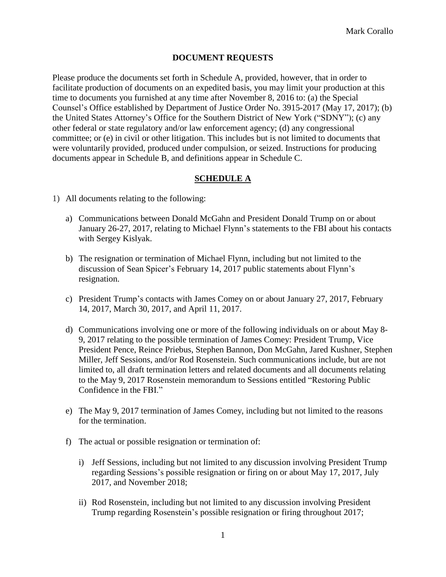## **DOCUMENT REQUESTS**

Please produce the documents set forth in Schedule A, provided, however, that in order to facilitate production of documents on an expedited basis, you may limit your production at this time to documents you furnished at any time after November 8, 2016 to: (a) the Special Counsel's Office established by Department of Justice Order No. 3915-2017 (May 17, 2017); (b) the United States Attorney's Office for the Southern District of New York ("SDNY"); (c) any other federal or state regulatory and/or law enforcement agency; (d) any congressional committee; or (e) in civil or other litigation. This includes but is not limited to documents that were voluntarily provided, produced under compulsion, or seized. Instructions for producing documents appear in Schedule B, and definitions appear in Schedule C.

## **SCHEDULE A**

- 1) All documents relating to the following:
	- a) Communications between Donald McGahn and President Donald Trump on or about January 26-27, 2017, relating to Michael Flynn's statements to the FBI about his contacts with Sergey Kislyak.
	- b) The resignation or termination of Michael Flynn, including but not limited to the discussion of Sean Spicer's February 14, 2017 public statements about Flynn's resignation.
	- c) President Trump's contacts with James Comey on or about January 27, 2017, February 14, 2017, March 30, 2017, and April 11, 2017.
	- d) Communications involving one or more of the following individuals on or about May 8- 9, 2017 relating to the possible termination of James Comey: President Trump, Vice President Pence, Reince Priebus, Stephen Bannon, Don McGahn, Jared Kushner, Stephen Miller, Jeff Sessions, and/or Rod Rosenstein. Such communications include, but are not limited to, all draft termination letters and related documents and all documents relating to the May 9, 2017 Rosenstein memorandum to Sessions entitled "Restoring Public Confidence in the FBI."
	- e) The May 9, 2017 termination of James Comey, including but not limited to the reasons for the termination.
	- f) The actual or possible resignation or termination of:
		- i) Jeff Sessions, including but not limited to any discussion involving President Trump regarding Sessions's possible resignation or firing on or about May 17, 2017, July 2017, and November 2018;
		- ii) Rod Rosenstein, including but not limited to any discussion involving President Trump regarding Rosenstein's possible resignation or firing throughout 2017;